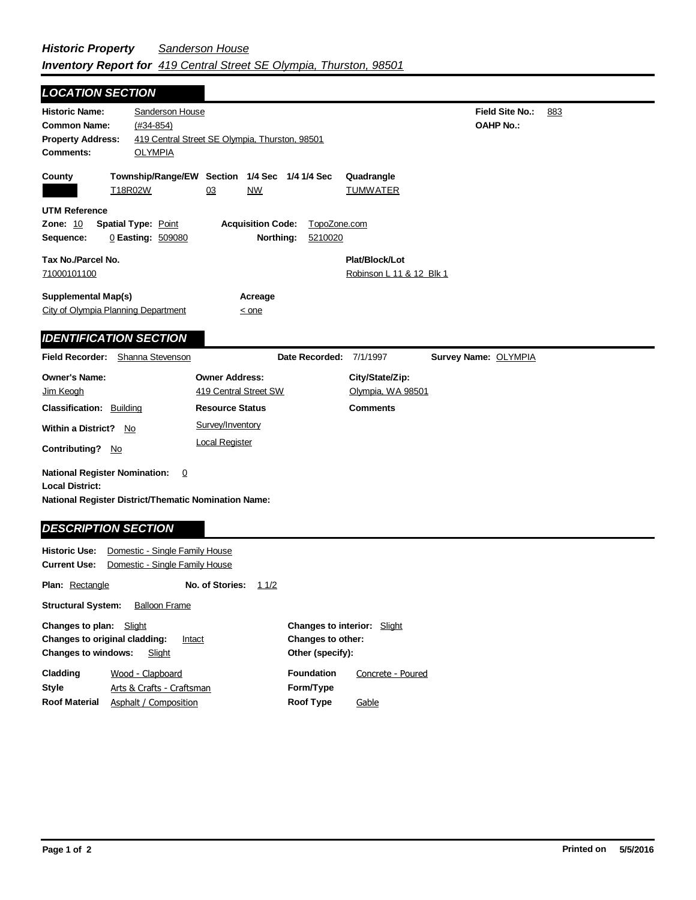| <b>LOCATION SECTION</b>                                                                                                                          |                                                                          |                                                         |
|--------------------------------------------------------------------------------------------------------------------------------------------------|--------------------------------------------------------------------------|---------------------------------------------------------|
| <b>Historic Name:</b><br>Sanderson House<br><b>Common Name:</b><br>$(#34-854)$<br><b>Property Address:</b><br><b>OLYMPIA</b><br><b>Comments:</b> | 419 Central Street SE Olympia, Thurston, 98501                           | Field Site No.:<br>883<br><b>OAHP No.:</b>              |
| County<br>T18R02W                                                                                                                                | Township/Range/EW Section 1/4 Sec<br>1/4 1/4 Sec<br>03<br><b>NW</b>      | Quadrangle<br><b>TUMWATER</b>                           |
| <b>UTM Reference</b><br><b>Zone: 10</b><br><b>Spatial Type: Point</b><br>Sequence:<br>0 Easting: 509080                                          | <b>Acquisition Code:</b><br>Northing:<br>5210020                         | TopoZone.com                                            |
| Tax No./Parcel No.<br>71000101100                                                                                                                |                                                                          | Plat/Block/Lot<br>Robinson L 11 & 12 Blk 1              |
| <b>Supplemental Map(s)</b><br>City of Olympia Planning Department                                                                                | Acreage<br>$\leq$ one                                                    |                                                         |
| <b>IDENTIFICATION SECTION</b>                                                                                                                    |                                                                          |                                                         |
| Shanna Stevenson<br><b>Field Recorder:</b>                                                                                                       | Date Recorded:                                                           | Survey Name: OLYMPIA<br>7/1/1997                        |
| <b>Owner's Name:</b><br>Jim Keogh<br><b>Classification: Building</b>                                                                             | <b>Owner Address:</b><br>419 Central Street SW<br><b>Resource Status</b> | City/State/Zip:<br>Olympia, WA 98501<br><b>Comments</b> |
| <b>Within a District?</b><br>No<br><b>Contributing?</b><br>No.                                                                                   | Survey/Inventory<br><b>Local Register</b>                                |                                                         |
| <b>National Register Nomination:</b><br>0<br><b>Local District:</b><br>National Register District/Thematic Nomination Name:                      |                                                                          |                                                         |
| <b>DESCRIPTION SECTION</b><br><b>Historic Use:</b><br>Domestic - Single Family House<br>Domestic - Single Family House<br>Current Use: .         |                                                                          |                                                         |

| GUITEIR USE.                                                                                                  | <b>PUTTESUC - STIGLE FAITING LIQUSE</b> |                 |      |                                                                                    |                   |  |
|---------------------------------------------------------------------------------------------------------------|-----------------------------------------|-----------------|------|------------------------------------------------------------------------------------|-------------------|--|
| <b>Plan: Rectangle</b>                                                                                        |                                         | No. of Stories: | 11/2 |                                                                                    |                   |  |
| <b>Structural System:</b><br><b>Balloon Frame</b>                                                             |                                         |                 |      |                                                                                    |                   |  |
| Changes to plan:<br>Slight<br>Changes to original cladding:<br>Intact<br><b>Changes to windows:</b><br>Slight |                                         |                 |      | <b>Changes to interior: Slight</b><br><b>Changes to other:</b><br>Other (specify): |                   |  |
| Cladding                                                                                                      | Wood - Clapboard                        |                 |      | <b>Foundation</b>                                                                  | Concrete - Poured |  |
| <b>Style</b>                                                                                                  | Arts & Crafts - Craftsman               |                 |      | Form/Type                                                                          |                   |  |
| <b>Roof Material</b>                                                                                          | Asphalt / Composition                   |                 |      | <b>Roof Type</b>                                                                   | Gable             |  |